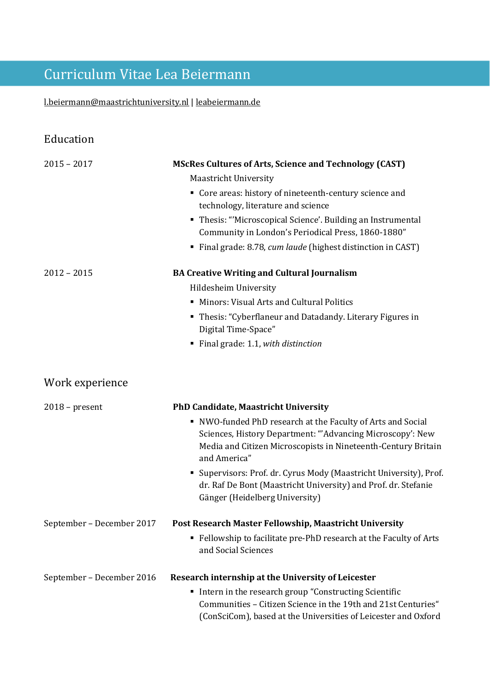# Curriculum Vitae Lea Beiermann

### [l.beiermann@maastrichtuniversity.nl](mailto:l.beiermann@maastrichtuniversity.nl) | [leabeiermann.de](https://leabeiermann.de/)

| Education                 |                                                                                                                                                                                                          |
|---------------------------|----------------------------------------------------------------------------------------------------------------------------------------------------------------------------------------------------------|
| $2015 - 2017$             | <b>MScRes Cultures of Arts, Science and Technology (CAST)</b><br><b>Maastricht University</b>                                                                                                            |
|                           | • Core areas: history of nineteenth-century science and<br>technology, literature and science                                                                                                            |
|                           | • Thesis: "Microscopical Science'. Building an Instrumental<br>Community in London's Periodical Press, 1860-1880"                                                                                        |
|                           | Final grade: 8.78, cum laude (highest distinction in CAST)                                                                                                                                               |
| $2012 - 2015$             | <b>BA Creative Writing and Cultural Journalism</b>                                                                                                                                                       |
|                           | Hildesheim University                                                                                                                                                                                    |
|                           | • Minors: Visual Arts and Cultural Politics                                                                                                                                                              |
|                           | • Thesis: "Cyberflaneur and Datadandy. Literary Figures in<br>Digital Time-Space"                                                                                                                        |
|                           | Final grade: 1.1, with distinction<br>٠                                                                                                                                                                  |
| Work experience           |                                                                                                                                                                                                          |
| $2018$ – present          | <b>PhD Candidate, Maastricht University</b>                                                                                                                                                              |
|                           | NWO-funded PhD research at the Faculty of Arts and Social<br>Sciences, History Department: "'Advancing Microscopy': New<br>Media and Citizen Microscopists in Nineteenth-Century Britain<br>and America" |
|                           | Supervisors: Prof. dr. Cyrus Mody (Maastricht University), Prof.<br>٠<br>dr. Raf De Bont (Maastricht University) and Prof. dr. Stefanie<br>Gänger (Heidelberg University)                                |
| September - December 2017 | Post Research Master Fellowship, Maastricht University                                                                                                                                                   |
|                           | • Fellowship to facilitate pre-PhD research at the Faculty of Arts<br>and Social Sciences                                                                                                                |
| September - December 2016 | Research internship at the University of Leicester                                                                                                                                                       |
|                           | Intern in the research group "Constructing Scientific<br>Communities - Citizen Science in the 19th and 21st Centuries"<br>(ConSciCom), based at the Universities of Leicester and Oxford                 |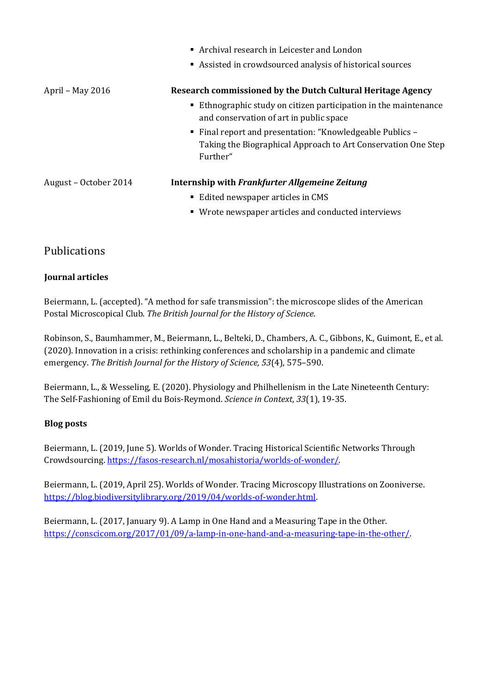|                       | Archival research in Leicester and London<br>Assisted in crowdsourced analysis of historical sources                                   |
|-----------------------|----------------------------------------------------------------------------------------------------------------------------------------|
| April – May 2016      | Research commissioned by the Dutch Cultural Heritage Agency                                                                            |
|                       | Ethnographic study on citizen participation in the maintenance<br>and conservation of art in public space                              |
|                       | ■ Final report and presentation: "Knowledgeable Publics –<br>Taking the Biographical Approach to Art Conservation One Step<br>Further" |
| August – October 2014 | Internship with Frankfurter Allgemeine Zeitung                                                                                         |
|                       | ■ Edited newspaper articles in CMS                                                                                                     |
|                       | • Wrote newspaper articles and conducted interviews                                                                                    |

### Publications

#### **Journal articles**

Beiermann, L. (accepted). "A method for safe transmission": the microscope slides of the American Postal Microscopical Club. *The British Journal for the History of Science*.

Robinson, S., Baumhammer, M., Beiermann, L., Belteki, D., Chambers, A. C., Gibbons, K., Guimont, E., et al. (2020). Innovation in a crisis: rethinking conferences and scholarship in a pandemic and climate emergency. *The British Journal for the History of Science, 53*(4), 575–590.

Beiermann, L., & Wesseling, E. (2020). Physiology and Philhellenism in the Late Nineteenth Century: The Self-Fashioning of Emil du Bois-Reymond. *Science in Context*, *33*(1), 19-35.

#### **Blog posts**

Beiermann, L. (2019, June 5). Worlds of Wonder. Tracing Historical Scientific Networks Through Crowdsourcing[. https://fasos-research.nl/mosahistoria/worlds-of-wonder/.](https://fasos-research.nl/mosahistoria/worlds-of-wonder/)

Beiermann, L. (2019, April 25). Worlds of Wonder. Tracing Microscopy Illustrations on Zooniverse. [https://blog.biodiversitylibrary.org/2019/04/worlds-of-wonder.html.](https://blog.biodiversitylibrary.org/2019/04/worlds-of-wonder.html)

Beiermann, L. (2017, January 9). A Lamp in One Hand and a Measuring Tape in the Other. [https://conscicom.org/2017/01/09/a-lamp-in-one-hand-and-a-measuring-tape-in-the-other/.](https://conscicom.org/2017/01/09/a-lamp-in-one-hand-and-a-measuring-tape-in-the-other/)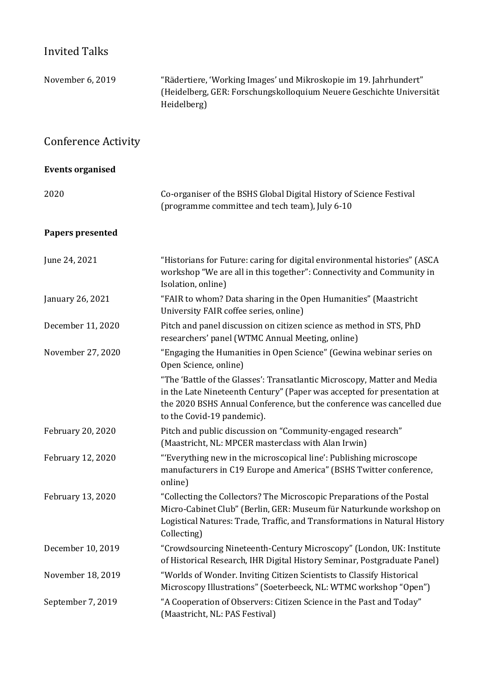### Invited Talks

| November 6, 2019           | "Rädertiere, 'Working Images' und Mikroskopie im 19. Jahrhundert"<br>(Heidelberg, GER: Forschungskolloquium Neuere Geschichte Universität<br>Heidelberg)                                                                                                   |
|----------------------------|------------------------------------------------------------------------------------------------------------------------------------------------------------------------------------------------------------------------------------------------------------|
| <b>Conference Activity</b> |                                                                                                                                                                                                                                                            |
| <b>Events organised</b>    |                                                                                                                                                                                                                                                            |
| 2020                       | Co-organiser of the BSHS Global Digital History of Science Festival<br>(programme committee and tech team), July 6-10                                                                                                                                      |
| <b>Papers presented</b>    |                                                                                                                                                                                                                                                            |
| June 24, 2021              | "Historians for Future: caring for digital environmental histories" (ASCA<br>workshop "We are all in this together": Connectivity and Community in<br>Isolation, online)                                                                                   |
| January 26, 2021           | "FAIR to whom? Data sharing in the Open Humanities" (Maastricht<br>University FAIR coffee series, online)                                                                                                                                                  |
| December 11, 2020          | Pitch and panel discussion on citizen science as method in STS, PhD<br>researchers' panel (WTMC Annual Meeting, online)                                                                                                                                    |
| November 27, 2020          | "Engaging the Humanities in Open Science" (Gewina webinar series on<br>Open Science, online)                                                                                                                                                               |
|                            | "The 'Battle of the Glasses': Transatlantic Microscopy, Matter and Media<br>in the Late Nineteenth Century" (Paper was accepted for presentation at<br>the 2020 BSHS Annual Conference, but the conference was cancelled due<br>to the Covid-19 pandemic). |
| February 20, 2020          | Pitch and public discussion on "Community-engaged research"<br>(Maastricht, NL: MPCER masterclass with Alan Irwin)                                                                                                                                         |
| February 12, 2020          | "'Everything new in the microscopical line': Publishing microscope<br>manufacturers in C19 Europe and America" (BSHS Twitter conference,<br>online)                                                                                                        |
| February 13, 2020          | "Collecting the Collectors? The Microscopic Preparations of the Postal<br>Micro-Cabinet Club" (Berlin, GER: Museum für Naturkunde workshop on<br>Logistical Natures: Trade, Traffic, and Transformations in Natural History<br>Collecting)                 |
| December 10, 2019          | "Crowdsourcing Nineteenth-Century Microscopy" (London, UK: Institute<br>of Historical Research, IHR Digital History Seminar, Postgraduate Panel)                                                                                                           |
| November 18, 2019          | "Worlds of Wonder. Inviting Citizen Scientists to Classify Historical<br>Microscopy Illustrations" (Soeterbeeck, NL: WTMC workshop "Open")                                                                                                                 |
| September 7, 2019          | "A Cooperation of Observers: Citizen Science in the Past and Today"<br>(Maastricht, NL: PAS Festival)                                                                                                                                                      |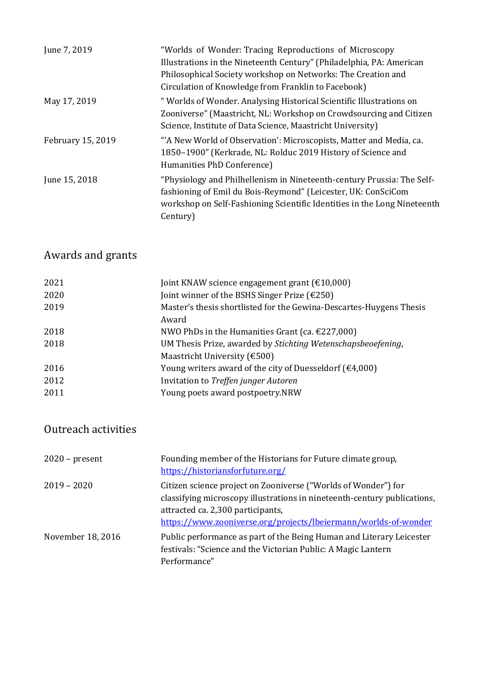| June 7, 2019      | "Worlds of Wonder: Tracing Reproductions of Microscopy<br>Illustrations in the Nineteenth Century" (Philadelphia, PA: American<br>Philosophical Society workshop on Networks: The Creation and<br>Circulation of Knowledge from Franklin to Facebook) |
|-------------------|-------------------------------------------------------------------------------------------------------------------------------------------------------------------------------------------------------------------------------------------------------|
| May 17, 2019      | " Worlds of Wonder. Analysing Historical Scientific Illustrations on<br>Zooniverse" (Maastricht, NL: Workshop on Crowdsourcing and Citizen<br>Science, Institute of Data Science, Maastricht University)                                              |
| February 15, 2019 | "A New World of Observation': Microscopists, Matter and Media, ca.<br>1850-1900" (Kerkrade, NL: Rolduc 2019 History of Science and<br>Humanities PhD Conference)                                                                                      |
| June 15, 2018     | "Physiology and Philhellenism in Nineteenth-century Prussia: The Self-<br>fashioning of Emil du Bois-Reymond" (Leicester, UK: ConSciCom<br>workshop on Self-Fashioning Scientific Identities in the Long Nineteenth<br>Century)                       |

# Awards and grants

| 2021 | Joint KNAW science engagement grant $(\text{\textsterling}10,000)$  |
|------|---------------------------------------------------------------------|
| 2020 | Joint winner of the BSHS Singer Prize $(\text{\textsterling}250)$   |
| 2019 | Master's thesis shortlisted for the Gewina-Descartes-Huygens Thesis |
|      | Award                                                               |
| 2018 | NWO PhDs in the Humanities Grant (ca. $\epsilon$ 227,000)           |
| 2018 | UM Thesis Prize, awarded by Stichting Wetenschapsbeoefening,        |
|      | Maastricht University $(6500)$                                      |
| 2016 | Young writers award of the city of Duesseldorf ( $\epsilon$ 4,000)  |
| 2012 | Invitation to Treffen junger Autoren                                |
| 2011 | Young poets award postpoetry.NRW                                    |
|      |                                                                     |

# Outreach activities

| $2020$ – present  | Founding member of the Historians for Future climate group,<br>https://historiansforfuture.org/                                                                                                                                                    |
|-------------------|----------------------------------------------------------------------------------------------------------------------------------------------------------------------------------------------------------------------------------------------------|
| $2019 - 2020$     | Citizen science project on Zooniverse ("Worlds of Wonder") for<br>classifying microscopy illustrations in nineteenth-century publications,<br>attracted ca. 2,300 participants,<br>https://www.zooniverse.org/projects/lbeiermann/worlds-of-wonder |
| November 18, 2016 | Public performance as part of the Being Human and Literary Leicester<br>festivals: "Science and the Victorian Public: A Magic Lantern<br>Performance"                                                                                              |